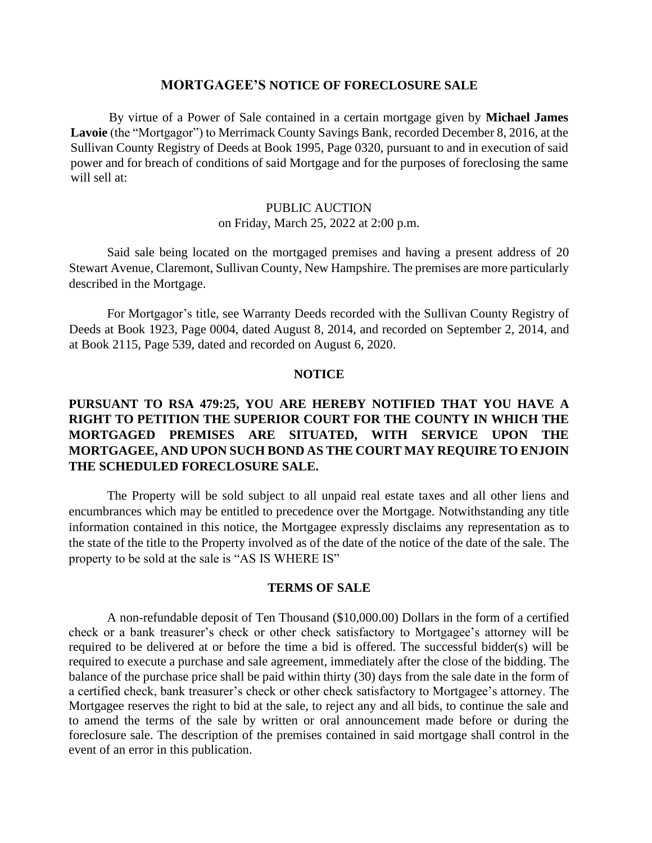#### **MORTGAGEE'S NOTICE OF FORECLOSURE SALE**

By virtue of a Power of Sale contained in a certain mortgage given by **Michael James Lavoie** (the "Mortgagor") to Merrimack County Savings Bank, recorded December 8, 2016, at the Sullivan County Registry of Deeds at Book 1995, Page 0320, pursuant to and in execution of said power and for breach of conditions of said Mortgage and for the purposes of foreclosing the same will sell at:

# PUBLIC AUCTION on Friday, March 25, 2022 at 2:00 p.m.

Said sale being located on the mortgaged premises and having a present address of 20 Stewart Avenue, Claremont, Sullivan County, New Hampshire. The premises are more particularly described in the Mortgage.

For Mortgagor's title, see Warranty Deeds recorded with the Sullivan County Registry of Deeds at Book 1923, Page 0004, dated August 8, 2014, and recorded on September 2, 2014, and at Book 2115, Page 539, dated and recorded on August 6, 2020.

## **NOTICE**

# **PURSUANT TO RSA 479:25, YOU ARE HEREBY NOTIFIED THAT YOU HAVE A RIGHT TO PETITION THE SUPERIOR COURT FOR THE COUNTY IN WHICH THE MORTGAGED PREMISES ARE SITUATED, WITH SERVICE UPON THE MORTGAGEE, AND UPON SUCH BOND AS THE COURT MAY REQUIRE TO ENJOIN THE SCHEDULED FORECLOSURE SALE.**

The Property will be sold subject to all unpaid real estate taxes and all other liens and encumbrances which may be entitled to precedence over the Mortgage. Notwithstanding any title information contained in this notice, the Mortgagee expressly disclaims any representation as to the state of the title to the Property involved as of the date of the notice of the date of the sale. The property to be sold at the sale is "AS IS WHERE IS"

### **TERMS OF SALE**

A non-refundable deposit of Ten Thousand (\$10,000.00) Dollars in the form of a certified check or a bank treasurer's check or other check satisfactory to Mortgagee's attorney will be required to be delivered at or before the time a bid is offered. The successful bidder(s) will be required to execute a purchase and sale agreement, immediately after the close of the bidding. The balance of the purchase price shall be paid within thirty (30) days from the sale date in the form of a certified check, bank treasurer's check or other check satisfactory to Mortgagee's attorney. The Mortgagee reserves the right to bid at the sale, to reject any and all bids, to continue the sale and to amend the terms of the sale by written or oral announcement made before or during the foreclosure sale. The description of the premises contained in said mortgage shall control in the event of an error in this publication.